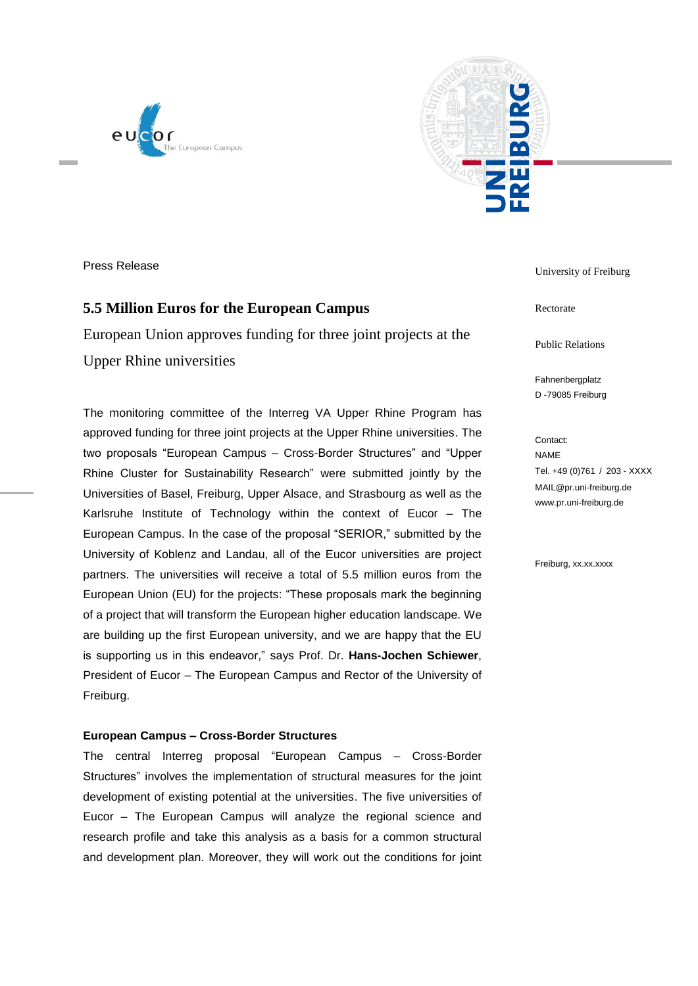



Press Release

# **5.5 Million Euros for the European Campus**

European Union approves funding for three joint projects at the Upper Rhine universities

The monitoring committee of the Interreg VA Upper Rhine Program has approved funding for three joint projects at the Upper Rhine universities. The two proposals "European Campus – Cross-Border Structures" and "Upper Rhine Cluster for Sustainability Research" were submitted jointly by the Universities of Basel, Freiburg, Upper Alsace, and Strasbourg as well as the Karlsruhe Institute of Technology within the context of Eucor – The European Campus. In the case of the proposal "SERIOR," submitted by the University of Koblenz and Landau, all of the Eucor universities are project partners. The universities will receive a total of 5.5 million euros from the European Union (EU) for the projects: "These proposals mark the beginning of a project that will transform the European higher education landscape. We are building up the first European university, and we are happy that the EU is supporting us in this endeavor," says Prof. Dr. **Hans-Jochen Schiewer**, President of Eucor – The European Campus and Rector of the University of Freiburg.

### **European Campus – Cross-Border Structures**

The central Interreg proposal "European Campus – Cross-Border Structures" involves the implementation of structural measures for the joint development of existing potential at the universities. The five universities of Eucor – The European Campus will analyze the regional science and research profile and take this analysis as a basis for a common structural and development plan. Moreover, they will work out the conditions for joint University of Freiburg

Rectorate

Public Relations

Fahnenbergplatz D -79085 Freiburg

Contact: NAME Tel. +49 (0)761 / 203 - XXXX MAIL@pr.uni-freiburg.de www.pr.uni-freiburg.de

Freiburg, xx.xx.xxxx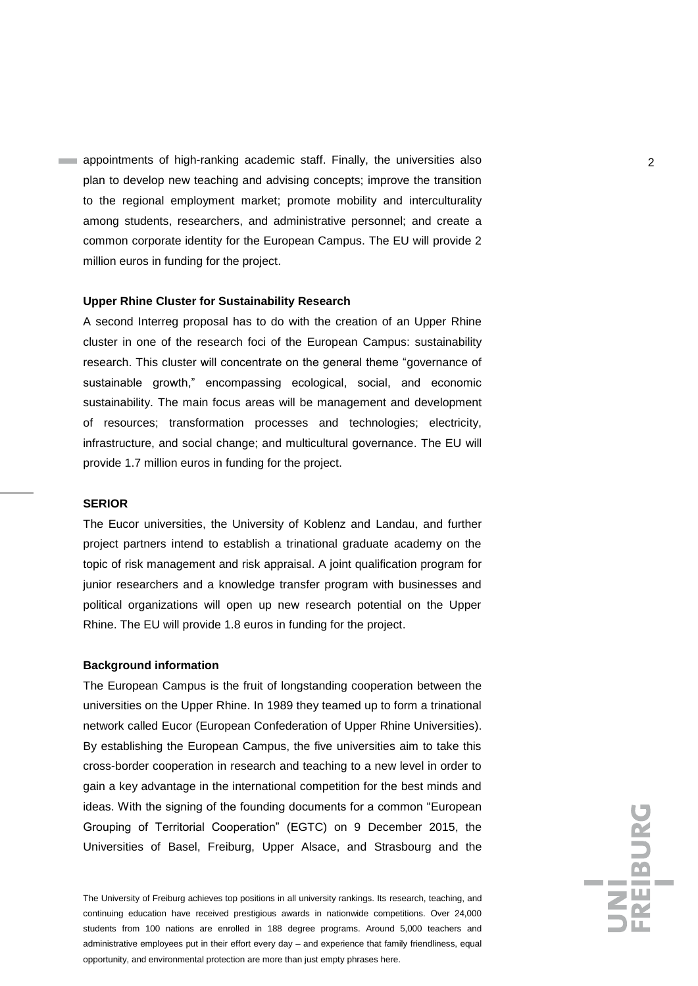appointments of high-ranking academic staff. Finally, the universities also 2 plan to develop new teaching and advising concepts; improve the transition to the regional employment market; promote mobility and interculturality among students, researchers, and administrative personnel; and create a common corporate identity for the European Campus. The EU will provide 2 million euros in funding for the project.

### **Upper Rhine Cluster for Sustainability Research**

A second Interreg proposal has to do with the creation of an Upper Rhine cluster in one of the research foci of the European Campus: sustainability research. This cluster will concentrate on the general theme "governance of sustainable growth," encompassing ecological, social, and economic sustainability. The main focus areas will be management and development of resources; transformation processes and technologies; electricity, infrastructure, and social change; and multicultural governance. The EU will provide 1.7 million euros in funding for the project.

#### **SERIOR**

The Eucor universities, the University of Koblenz and Landau, and further project partners intend to establish a trinational graduate academy on the topic of risk management and risk appraisal. A joint qualification program for junior researchers and a knowledge transfer program with businesses and political organizations will open up new research potential on the Upper Rhine. The EU will provide 1.8 euros in funding for the project.

#### **Background information**

The European Campus is the fruit of longstanding cooperation between the universities on the Upper Rhine. In 1989 they teamed up to form a trinational network called Eucor (European Confederation of Upper Rhine Universities). By establishing the European Campus, the five universities aim to take this cross-border cooperation in research and teaching to a new level in order to gain a key advantage in the international competition for the best minds and ideas. With the signing of the founding documents for a common "European Grouping of Territorial Cooperation" (EGTC) on 9 December 2015, the Universities of Basel, Freiburg, Upper Alsace, and Strasbourg and the

The University of Freiburg achieves top positions in all university rankings. Its research, teaching, and continuing education have received prestigious awards in nationwide competitions. Over 24,000 students from 100 nations are enrolled in 188 degree programs. Around 5,000 teachers and administrative employees put in their effort every day – and experience that family friendliness, equal opportunity, and environmental protection are more than just empty phrases here.